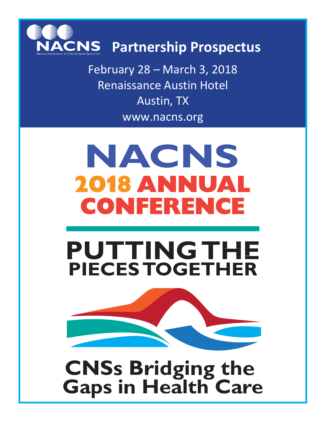

February 28 – March 3, 2018 Renaissance Austin Hotel Austin, TX [www.nacns.org](http://www.nacns.org/)

# NACNS 2018 ANNUAL CONFERENCE

## **PUTTINGTHE PIECES TOGETHER**



**CNSs Bridging the Gaps in Health Care**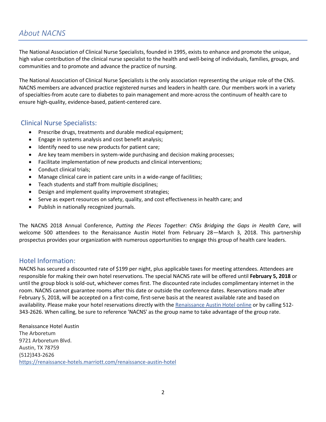## *About NACNS*

The National Association of Clinical Nurse Specialists, founded in 1995, exists to enhance and promote the unique, high value contribution of the clinical nurse specialist to the health and well-being of individuals, families, groups, and communities and to promote and advance the practice of nursing.

The National Association of Clinical Nurse Specialists is the only association representing the unique role of the CNS. NACNS members are advanced practice registered nurses and leaders in health care. Our members work in a variety of specialties-from acute care to diabetes to pain management and more-across the continuum of health care to ensure high-quality, evidence-based, patient-centered care.

#### Clinical Nurse Specialists:

- Prescribe drugs, treatments and durable medical equipment;
- Engage in systems analysis and cost benefit analysis;
- Identify need to use new products for patient care;
- Are key team members in system-wide purchasing and decision making processes;
- Facilitate implementation of new products and clinical interventions;
- Conduct clinical trials;
- Manage clinical care in patient care units in a wide-range of facilities;
- Teach students and staff from multiple disciplines;
- Design and implement quality improvement strategies;
- Serve as expert resources on safety, quality, and cost effectiveness in health care; and
- Publish in nationally recognized journals.

The NACNS 2018 Annual Conference, *Putting the Pieces Together: CNSs Bridging the Gaps in Health Care*, will welcome 500 attendees to the Renaissance Austin Hotel from February 28—March 3, 2018. This partnership prospectus provides your organization with numerous opportunities to engage this group of health care leaders.

#### Hotel Information:

NACNS has secured a discounted rate of \$199 per night, plus applicable taxes for meeting attendees. Attendees are responsible for making their own hotel reservations. The special NACNS rate will be offered until **February 5, 2018** or until the group block is sold-out, whichever comes first. The discounted rate includes complimentary internet in the room. NACNS cannot guarantee rooms after this date or outside the conference dates. Reservations made after February 5, 2018, will be accepted on a first-come, first-serve basis at the nearest available rate and based on availability. Please make your hotel reservations directly with the [Renaissance Austin Hotel online](http://www.marriott.com/meeting-event-hotels/group-corporate-travel/groupCorp.mi?resLinkData=National%20Association%20of%20Clinical%20Nurse%20Specialists%20Annual%20Conference%5Eaussh%60nnsnnsr%60199.00%60USD%60false%605%602/26/18%603/4/18%602/5/18&app=resvlink&stop_mobi=yes) or by calling 512- 343-2626. When calling, be sure to reference 'NACNS' as the group name to take advantage of the group rate.

Renaissance Hotel Austin The Arboretum 9721 Arboretum Blvd. Austin, TX 78759 (512)343-2626 <https://renaissance-hotels.marriott.com/renaissance-austin-hotel>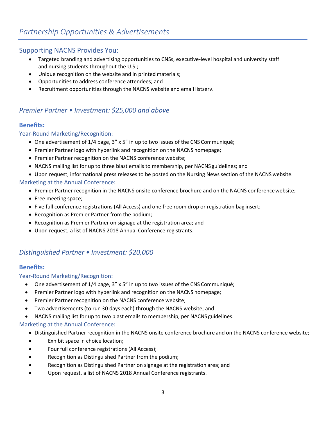#### Supporting NACNS Provides You:

- Targeted branding and advertising opportunities to CNSs, executive-level hospital and university staff and nursing students throughout the U.S.;
- Unique recognition on the website and in printed materials;
- Opportunities to address conference attendees; and
- Recruitment opportunities through the NACNS website and email listserv.

## *Premier Partner • Investment: \$25,000 and above*

#### **Benefits:**

#### Year-Round Marketing/Recognition:

- One advertisement of 1/4 page, 3" x 5" in up to two issues of the CNS Communiqué;
- Premier Partner logo with hyperlink and recognition on the NACNS homepage;
- Premier Partner recognition on the NACNS conference website;
- NACNS mailing list for up to three blast emails to membership, per NACNS guidelines; and
- Upon request, informational press releases to be posted on the Nursing News section of the NACNS website.

#### Marketing at the Annual Conference:

- Premier Partner recognition in the NACNS onsite conference brochure and on the NACNS conferencewebsite;
- Free meeting space;
- Five full conference registrations (All Access) and one free room drop or registration bag insert;
- Recognition as Premier Partner from the podium;
- Recognition as Premier Partner on signage at the registration area; and
- Upon request, a list of NACNS 2018 Annual Conference registrants.

## *Distinguished Partner • Investment: \$20,000*

#### **Benefits:**

#### Year-Round Marketing/Recognition:

- One advertisement of 1/4 page, 3" x 5" in up to two issues of the CNS Communiqué;
- Premier Partner logo with hyperlink and recognition on the NACNS homepage;
- Premier Partner recognition on the NACNS conference website;
- Two advertisements (to run 30 days each) through the NACNS website; and
- NACNS mailing list for up to two blast emails to membership, per NACNS guidelines.

#### Marketing at the Annual Conference:

- Distinguished Partner recognition in the NACNS onsite conference brochure and on the NACNS conference website;
- Exhibit space in choice location;
- Four full conference registrations (All Access);
- Recognition as Distinguished Partner from the podium;
- Recognition as Distinguished Partner on signage at the registration area; and
- Upon request, a list of NACNS 2018 Annual Conference registrants.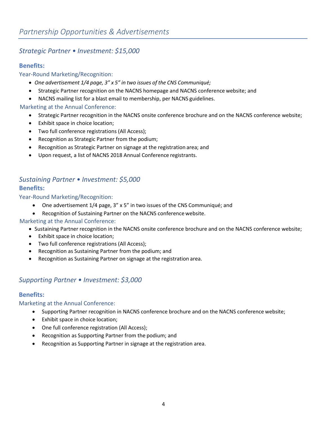## *Strategic Partner • Investment: \$15,000*

#### **Benefits:**

#### Year-Round Marketing/Recognition:

- *One advertisement 1/4 page, 3" x 5" in two issues of the CNS Communiqué;*
- Strategic Partner recognition on the NACNS homepage and NACNS conference website; and
- NACNS mailing list for a blast email to membership, per NACNS guidelines.

#### Marketing at the Annual Conference:

- Strategic Partner recognition in the NACNS onsite conference brochure and on the NACNS conference website;
- Exhibit space in choice location;
- Two full conference registrations (All Access);
- Recognition as Strategic Partner from the podium;
- Recognition as Strategic Partner on signage at the registration area; and
- Upon request, a list of NACNS 2018 Annual Conference registrants.

## *Sustaining Partner • Investment: \$5,000*

#### **Benefits:**

Year-Round Marketing/Recognition:

- One advertisement 1/4 page, 3" x 5" in two issues of the CNS Communiqué; and
- Recognition of Sustaining Partner on the NACNS conference website.

#### Marketing at the Annual Conference:

- Sustaining Partner recognition in the NACNS onsite conference brochure and on the NACNS conference website;
- Exhibit space in choice location;
- Two full conference registrations (All Access);
- Recognition as Sustaining Partner from the podium; and
- Recognition as Sustaining Partner on signage at the registration area.

#### *Supporting Partner • Investment: \$3,000*

#### **Benefits:**

#### Marketing at the Annual Conference:

- Supporting Partner recognition in NACNS conference brochure and on the NACNS conference website;
- Exhibit space in choice location;
- One full conference registration (All Access);
- Recognition as Supporting Partner from the podium; and
- Recognition as Supporting Partner in signage at the registration area.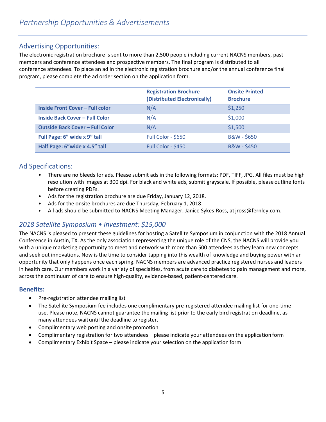## Advertising Opportunities:

The electronic registration brochure is sent to more than 2,500 people including current NACNS members, past members and conference attendees and prospective members. The final program is distributed to all conference attendees. To place an ad in the electronic registration brochure and/or the annual conference final program, please complete the ad order section on the application form.

|                                        | <b>Registration Brochure</b><br>(Distributed Electronically) | <b>Onsite Printed</b><br><b>Brochure</b> |
|----------------------------------------|--------------------------------------------------------------|------------------------------------------|
| <b>Inside Front Cover - Full color</b> | N/A                                                          | \$1,250                                  |
| <b>Inside Back Cover - Full Color</b>  | N/A                                                          | \$1,000                                  |
| <b>Outside Back Cover - Full Color</b> | N/A                                                          | \$1,500                                  |
| Full Page: 6" wide x 9" tall           | Full Color - \$650                                           | B&W - \$650                              |
| Half Page: 6"wide x 4.5" tall          | Full Color - \$450                                           | <b>B&amp;W-\$450</b>                     |

## Ad Specifications:

- There are no bleeds for ads. Please submit ads in the following formats: PDF, TIFF, JPG. All files must be high resolution with images at 300 dpi. For black and white ads, submit grayscale. If possible, pleaseoutline fonts before creating PDFs.
- Ads for the registration brochure are due Friday, January 12, 2018.
- Ads for the onsite brochures are due Thursday, February 1, 2018.
- All ads should be submitted to NACNS Meeting Manager, Janice Sykes-Ross, at jross@fernley.com.

## *2018 Satellite Symposium • Investment: \$15,000*

The NACNS is pleased to present these guidelines for hosting a Satellite Symposium in conjunction with the 2018 Annual Conference in Austin, TX. As the only association representing the unique role of the CNS, the NACNS will provide you with a unique marketing opportunity to meet and network with more than 500 attendees as they learn new concepts and seek out innovations. Now is the time to consider tapping into this wealth of knowledge and buying power with an opportunity that only happens once each spring. NACNS members are advanced practice registered nurses and leaders in health care. Our members work in a variety of specialties, from acute care to diabetes to pain management and more, across the continuum of care to ensure high-quality, evidence-based, patient-centered care.

#### **Benefits:**

- Pre-registration attendee mailing list
- The Satellite Symposium fee includes one complimentary pre-registered attendee mailing list for one-time use. Please note, NACNS cannot guarantee the mailing list prior to the early bird registration deadline, as many attendees waituntil the deadline to register.
- Complimentary web posting and onsite promotion
- Complimentary registration for two attendees please indicate your attendees on the application form
- Complimentary Exhibit Space please indicate your selection on the application form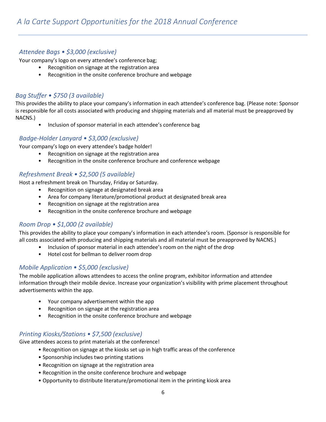#### *Attendee Bags • \$3,000 (exclusive)*

Your company's logo on every attendee's conference bag;

- Recognition on signage at the registration area
- Recognition in the onsite conference brochure and webpage

#### *Bag Stuffer • \$750 (3 available)*

This provides the ability to place your company's information in each attendee's conference bag. (Please note: Sponsor is responsible for all costs associated with producing and shipping materials and all material must be preapproved by NACNS.)

• Inclusion of sponsor material in each attendee's conference bag

#### *Badge-Holder Lanyard • \$3,000 (exclusive)*

Your company's logo on every attendee's badge holder!

- Recognition on signage at the registration area
- Recognition in the onsite conference brochure and conference webpage

#### *Refreshment Break • \$2,500 (5 available)*

Host a refreshment break on Thursday, Friday or Saturday.

- Recognition on signage at designated break area
- Area for company literature/promotional product at designated break area
- Recognition on signage at the registration area
- Recognition in the onsite conference brochure and webpage

#### *Room Drop • \$1,000 (2 available)*

This provides the ability to place your company's information in each attendee's room. (Sponsor is responsible for all costs associated with producing and shipping materials and all material must be preapproved by NACNS.)

- *•* Inclusion of sponsor material in each attendee's room on the night of the drop
- Hotel cost for bellman to deliver room drop

#### *Mobile Application • \$5,000 (exclusive)*

The mobile application allows attendees to access the online program, exhibitor information and attendee information through their mobile device. Increase your organization's visibility with prime placement throughout advertisements within the app.

- Your company advertisement within the app
- Recognition on signage at the registration area
- Recognition in the onsite conference brochure and webpage

#### *Printing Kiosks/Stations • \$7,500 (exclusive)*

Give attendees access to print materials at the conference!

- Recognition on signage at the kiosks set up in high traffic areas of the conference
	- Sponsorship includes two printing stations
	- Recognition on signage at the registration area
	- Recognition in the onsite conference brochure and webpage
	- Opportunity to distribute literature/promotional item in the printing kiosk area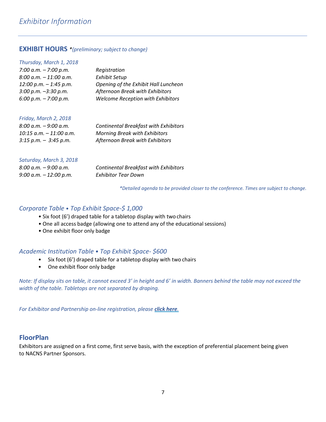#### **EXHIBIT HOURS** *\*(preliminary; subject to change)*

| Thursday, March 1, 2018   |                                          |
|---------------------------|------------------------------------------|
| 7:00 a.m. $-$ 7:00 p.m.   | Registration                             |
| $8:00$ a.m. $-11:00$ a.m. | <b>Exhibit Setup</b>                     |
| $12:00 p.m. - 1:45 p.m.$  | Opening of the Exhibit Hall Luncheon     |
| $3:00$ p.m. $-3:30$ p.m.  | Afternoon Break with Exhibitors          |
| $6:00$ p.m. $-7:00$ p.m.  | <b>Welcome Reception with Exhibitors</b> |
|                           |                                          |

#### *Friday, March 2, 2018*

| $8:00$ a.m. $-9:00$ a.m.   | <b>Continental Breakfast with Exhibitors</b> |
|----------------------------|----------------------------------------------|
| $10:15$ a.m. $-11:00$ a.m. | <b>Morning Break with Exhibitors</b>         |
| $3:15$ p.m. $-3:45$ p.m.   | Afternoon Break with Exhibitors              |

#### *Saturday, March 3, 2018*

| $8:00 a.m. - 9:00 a.m.$   | Continental Breakfa. |
|---------------------------|----------------------|
| $9:00$ a.m. $-12:00$ p.m. | Exhibitor Tear Down  |

*8:00 a.m. – 9:00 a.m. Continental Breakfast with Exhibitors* 

*\*Detailed agenda to be provided closer to the conference. Times are subject to change.*

#### *Corporate Table* • *Top Exhibit Space-\$ 1,000*

- *•* Six foot (6') draped table for a tabletop display with two chairs
- One all access badge (allowing one to attend any of the educational sessions)
- *•* One exhibit floor only badge

#### *Academic Institution Table • Top Exhibit Space- \$600*

- Six foot (6') draped table for a tabletop display with two chairs
- One exhibit floor only badge

*Note: If display sits on table, it cannot exceed 3' in height and 6' in width. Banners behind the table may not exceed the width of the table. Tabletops are not separated by draping.*

*For Exhibitor and Partnership on-line registration, please [click here](http://nacns.org/news-and-events/annual-conference/).*

#### **FloorPlan**

Exhibitors are assigned on a first come, first serve basis, with the exception of preferential placement being given to NACNS Partner Sponsors.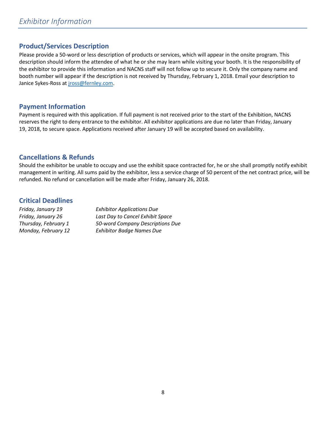## **Product/Services Description**

Please provide a 50-word or less description of products or services, which will appear in the onsite program. This description should inform the attendee of what he or she may learn while visiting your booth. It is the responsibility of the exhibitor to provide this information and NACNS staff will not follow up to secure it. Only the company name and booth number will appear if the description is not received by Thursday, February 1, 2018. Email your description to Janice Sykes-Ross at [jross@fernley.com.](mailto:jross@fernley.com)

#### **Payment Information**

Payment is required with this application. If full payment is not received prior to the start of the Exhibition, NACNS reserves the right to deny entrance to the exhibitor. All exhibitor applications are due no later than Friday, January 19, 2018, to secure space. Applications received after January 19 will be accepted based on availability.

#### **Cancellations & Refunds**

Should the exhibitor be unable to occupy and use the exhibit space contracted for, he or she shall promptly notify exhibit management in writing. All sums paid by the exhibitor, less a service charge of 50 percent of the net contract price, will be refunded. No refund or cancellation will be made after Friday, January 26, 2018.

#### **Critical Deadlines**

| Friday, January 19   | <b>Exhibitor Applications Due</b><br>Last Day to Cancel Exhibit Space |  |
|----------------------|-----------------------------------------------------------------------|--|
| Friday, January 26   |                                                                       |  |
| Thursday, February 1 | 50-word Company Descriptions Due                                      |  |
| Monday, February 12  | <b>Exhibitor Badge Names Due</b>                                      |  |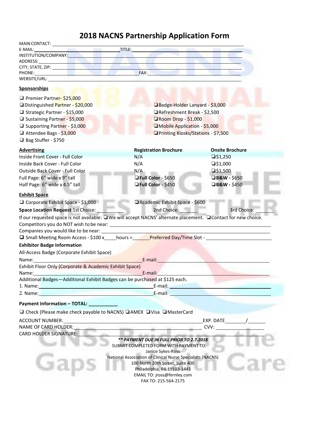## **2018 NACNS Partnership Application Form**

| MAIN CONTACT: New York CONTACT CONTACT CONTACT CONTACT CONTACT CONTACT CONTACT CONTACT CONTACT CONTACT CONTACT CONTACT CONTACT CONTACT CONTACT CONTACT CONTACT CONTACT CONTACT CONTACT CONTACT CONTACT CONTACT CONTACT CONTACT                                                                                                                         |                                                                                    |                                                                                                                                                                                                                                |  |
|--------------------------------------------------------------------------------------------------------------------------------------------------------------------------------------------------------------------------------------------------------------------------------------------------------------------------------------------------------|------------------------------------------------------------------------------------|--------------------------------------------------------------------------------------------------------------------------------------------------------------------------------------------------------------------------------|--|
| <u>and the same that the time of the same of the same of the same of the same of the same of the same of the same of the same of the same of the same of the same of the same of the same of the same of the same of the same of</u><br>E-MAIL:                                                                                                        |                                                                                    |                                                                                                                                                                                                                                |  |
| INSTITUTION/COMPANY:                                                                                                                                                                                                                                                                                                                                   |                                                                                    |                                                                                                                                                                                                                                |  |
| ADDRESS:                                                                                                                                                                                                                                                                                                                                               |                                                                                    |                                                                                                                                                                                                                                |  |
| CITY, STATE, ZIP: North and Contact the Contact of City of Contact of Contact of Contact of Contact of Contact of Contact of Contact of Contact of Contact of Contact of Contact of Contact of Contact of Contact of Contact o<br>PHONE:                                                                                                               | FAX:                                                                               |                                                                                                                                                                                                                                |  |
| <u> 1980 - De Barbara de Santa de Santa de Santa de Santa de Santa de Santa de Santa de Santa de Santa de Santa d</u><br>WEBSITE/URL: University of the University of the University of the University of the University of the University of the University of the University of the University of the University of the University of the University |                                                                                    |                                                                                                                                                                                                                                |  |
| <b>Sponsorships</b>                                                                                                                                                                                                                                                                                                                                    |                                                                                    |                                                                                                                                                                                                                                |  |
| □ Premier Partner-\$25,000                                                                                                                                                                                                                                                                                                                             |                                                                                    |                                                                                                                                                                                                                                |  |
| Distinguished Partner - \$20,000                                                                                                                                                                                                                                                                                                                       | Badge-Holder Lanyard - \$3,000                                                     |                                                                                                                                                                                                                                |  |
| Strategic Partner - \$15,000                                                                                                                                                                                                                                                                                                                           | Refreshment Break - \$2,500                                                        |                                                                                                                                                                                                                                |  |
| □ Sustaining Partner - \$5,000                                                                                                                                                                                                                                                                                                                         |                                                                                    | $\Box$ Room Drop - \$1,000                                                                                                                                                                                                     |  |
| □ Supporting Partner - \$3,000                                                                                                                                                                                                                                                                                                                         | Mobile Application - \$5,000                                                       |                                                                                                                                                                                                                                |  |
| Attendee Bags - \$3,000                                                                                                                                                                                                                                                                                                                                | □ Printing Kiosks/Stations - \$7,500                                               |                                                                                                                                                                                                                                |  |
| □ Bag Stuffer - \$750                                                                                                                                                                                                                                                                                                                                  |                                                                                    |                                                                                                                                                                                                                                |  |
| <b>Advertising</b>                                                                                                                                                                                                                                                                                                                                     | <b>Registration Brochure</b>                                                       | <b>Onsite Brochure</b>                                                                                                                                                                                                         |  |
| Inside Front Cover - Full Color                                                                                                                                                                                                                                                                                                                        | N/A                                                                                | $\square$ \$1,250                                                                                                                                                                                                              |  |
| Inside Back Cover - Full Color                                                                                                                                                                                                                                                                                                                         | N/A                                                                                | $\square$ \$1,000                                                                                                                                                                                                              |  |
| Outside Back Cover - Full Color                                                                                                                                                                                                                                                                                                                        | N/A                                                                                | $\square$ \$1,500                                                                                                                                                                                                              |  |
| Full Page: 6" wide x 9" tall                                                                                                                                                                                                                                                                                                                           | Full Color - \$650                                                                 | <b>□B&amp;W - \$650</b>                                                                                                                                                                                                        |  |
| Half Page: 6" wide x 4.5" tall                                                                                                                                                                                                                                                                                                                         | Full Color - \$450                                                                 | <b>B&amp;W - \$450</b>                                                                                                                                                                                                         |  |
| <b>Exhibit Space</b>                                                                                                                                                                                                                                                                                                                                   |                                                                                    |                                                                                                                                                                                                                                |  |
| Corporate Exhibit Space - \$1,000                                                                                                                                                                                                                                                                                                                      | Academic Exhibit Space - \$600                                                     |                                                                                                                                                                                                                                |  |
| Space Location Request 1st Choice:                                                                                                                                                                                                                                                                                                                     | 2nd Choice: 1986                                                                   | 3rd Choice:                                                                                                                                                                                                                    |  |
| If our requested space is not available: UWe will accept NACNS' alternate placement. UContact for new choice.                                                                                                                                                                                                                                          |                                                                                    |                                                                                                                                                                                                                                |  |
|                                                                                                                                                                                                                                                                                                                                                        |                                                                                    |                                                                                                                                                                                                                                |  |
| Companies you would like to be near: ___________                                                                                                                                                                                                                                                                                                       |                                                                                    |                                                                                                                                                                                                                                |  |
| <b>Q</b> Small Meeting Room Access - \$100 x____hours = Preferred Day/Time Slot - _________                                                                                                                                                                                                                                                            |                                                                                    |                                                                                                                                                                                                                                |  |
| <b>Exhibitor Badge Information</b>                                                                                                                                                                                                                                                                                                                     |                                                                                    |                                                                                                                                                                                                                                |  |
| All-Access Badge (Corporate Exhibit Space)                                                                                                                                                                                                                                                                                                             |                                                                                    |                                                                                                                                                                                                                                |  |
|                                                                                                                                                                                                                                                                                                                                                        |                                                                                    |                                                                                                                                                                                                                                |  |
| Name:                                                                                                                                                                                                                                                                                                                                                  | E-mail:                                                                            |                                                                                                                                                                                                                                |  |
| Exhibit Floor Only (Corporate & Academic Exhibit Space)<br>Name:                                                                                                                                                                                                                                                                                       | E-mail:                                                                            |                                                                                                                                                                                                                                |  |
| Additional Badges-Additional Exhibit Badges can be purchased at \$125 each.                                                                                                                                                                                                                                                                            |                                                                                    |                                                                                                                                                                                                                                |  |
| 1. Name: 1. 2008. The contract of the contract of the contract of the contract of the contract of the contract of the contract of the contract of the contract of the contract of the contract of the contract of the contract                                                                                                                         |                                                                                    | E-mail: <u>Alexander and Alexander and Alexander and Alexander and Alexander and Alexander and Alexander and Alex</u>                                                                                                          |  |
| 2. Name: 2008. 2009. 2009. 2009. 2010. 2010. 2010. 2011. 2012. 2014. 2016. 2017. 2018. 2019. 2019. 2014. 2014.                                                                                                                                                                                                                                         |                                                                                    | E-mail: E-mail: The Contract of the Contract of the Contract of the Contract of the Contract of the Contract of the Contract of the Contract of the Contract of the Contract of the Contract of the Contract of the Contract o |  |
| Payment Information - TOTAL: ___________                                                                                                                                                                                                                                                                                                               |                                                                                    |                                                                                                                                                                                                                                |  |
| □ Check (Please make check payable to NACNS) □ AMEX □ Visa □ MasterCard                                                                                                                                                                                                                                                                                |                                                                                    |                                                                                                                                                                                                                                |  |
| <b>ACCOUNT NUMBER:</b>                                                                                                                                                                                                                                                                                                                                 |                                                                                    | EXP. DATE                                                                                                                                                                                                                      |  |
| <b>NAME OF CARD HOLDER:</b>                                                                                                                                                                                                                                                                                                                            |                                                                                    | CVV:                                                                                                                                                                                                                           |  |
| <b>CARD HOLDER SIGNATURE:</b>                                                                                                                                                                                                                                                                                                                          |                                                                                    |                                                                                                                                                                                                                                |  |
|                                                                                                                                                                                                                                                                                                                                                        | ** PAYMENT DUE IN FULL PRIOR TO 2.7.2018<br>SUBMIT COMPLETED FORM WITH PAYMENT TO: |                                                                                                                                                                                                                                |  |
|                                                                                                                                                                                                                                                                                                                                                        | Janice Sykes-Ross                                                                  |                                                                                                                                                                                                                                |  |
|                                                                                                                                                                                                                                                                                                                                                        | National Association of Clinical Nurse Specialists (NACNS)                         |                                                                                                                                                                                                                                |  |
|                                                                                                                                                                                                                                                                                                                                                        | 100 North 20th Street, Suite 400<br>Philadelphia, PA 19103-1443                    |                                                                                                                                                                                                                                |  |
|                                                                                                                                                                                                                                                                                                                                                        | EMAIL TO: jross@fernley.com                                                        |                                                                                                                                                                                                                                |  |
|                                                                                                                                                                                                                                                                                                                                                        | FAX TO: 215-564-2175                                                               |                                                                                                                                                                                                                                |  |
|                                                                                                                                                                                                                                                                                                                                                        |                                                                                    |                                                                                                                                                                                                                                |  |